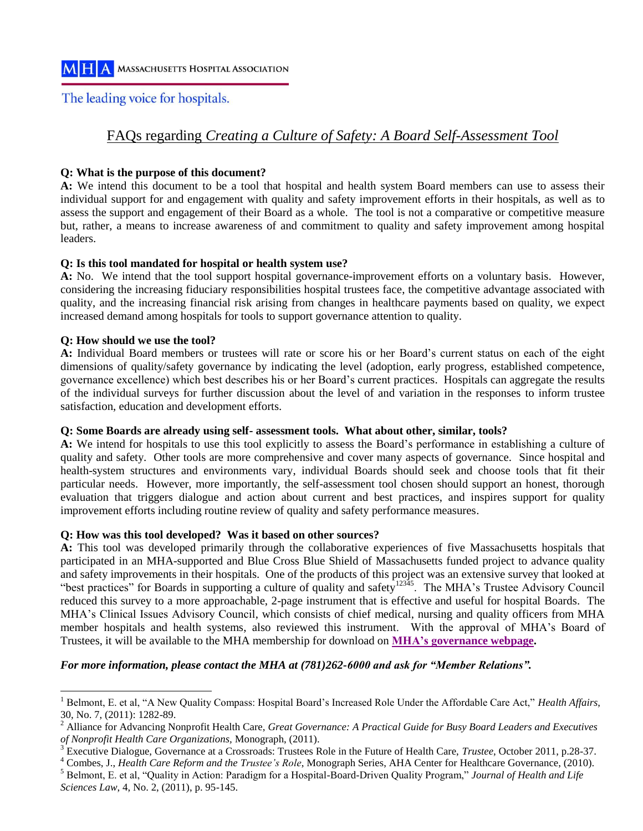### The leading voice for hospitals.

### FAQs regarding *Creating a Culture of Safety: A Board Self-Assessment Tool*

#### **Q: What is the purpose of this document?**

**A:** We intend this document to be a tool that hospital and health system Board members can use to assess their individual support for and engagement with quality and safety improvement efforts in their hospitals, as well as to assess the support and engagement of their Board as a whole. The tool is not a comparative or competitive measure but, rather, a means to increase awareness of and commitment to quality and safety improvement among hospital leaders.

#### **Q: Is this tool mandated for hospital or health system use?**

**A:** No. We intend that the tool support hospital governance-improvement efforts on a voluntary basis. However, considering the increasing fiduciary responsibilities hospital trustees face, the competitive advantage associated with quality, and the increasing financial risk arising from changes in healthcare payments based on quality, we expect increased demand among hospitals for tools to support governance attention to quality.

#### **Q: How should we use the tool?**

**A:** Individual Board members or trustees will rate or score his or her Board's current status on each of the eight dimensions of quality/safety governance by indicating the level (adoption, early progress, established competence, governance excellence) which best describes his or her Board's current practices. Hospitals can aggregate the results of the individual surveys for further discussion about the level of and variation in the responses to inform trustee satisfaction, education and development efforts.

#### **Q: Some Boards are already using self- assessment tools. What about other, similar, tools?**

**A:** We intend for hospitals to use this tool explicitly to assess the Board's performance in establishing a culture of quality and safety. Other tools are more comprehensive and cover many aspects of governance. Since hospital and health-system structures and environments vary, individual Boards should seek and choose tools that fit their particular needs. However, more importantly, the self-assessment tool chosen should support an honest, thorough evaluation that triggers dialogue and action about current and best practices, and inspires support for quality improvement efforts including routine review of quality and safety performance measures.

#### **Q: How was this tool developed? Was it based on other sources?**

**A:** This tool was developed primarily through the collaborative experiences of five Massachusetts hospitals that participated in an MHA-supported and Blue Cross Blue Shield of Massachusetts funded project to advance quality and safety improvements in their hospitals. One of the products of this project was an extensive survey that looked at "best practices" for Boards in supporting a culture of quality and safety<sup>12345</sup>. The MHA's Trustee Advisory Council reduced this survey to a more approachable, 2-page instrument that is effective and useful for hospital Boards. The MHA's Clinical Issues Advisory Council, which consists of chief medical, nursing and quality officers from MHA member hospitals and health systems, also reviewed this instrument. With the approval of MHA's Board of Trustees, it will be available to the MHA membership for download on **[MHA's governance webpage.](http://www.mhalink.org/AM/Template.cfm?Section=Governance&Template=/TaggedPage/TaggedPageDisplay.cfm&TPLID=2&ContentID=13354)**

#### *For more information, please contact the MHA at (781)262-6000 and ask for "Member Relations".*

<sup>1</sup> Belmont, E. et al, "A New Quality Compass: Hospital Board's Increased Role Under the Affordable Care Act," *Health Affairs*, 30, No. 7, (2011): 1282-89.

<sup>2</sup> Alliance for Advancing Nonprofit Health Care, *Great Governance: A Practical Guide for Busy Board Leaders and Executives of Nonprofit Health Care Organizations,* Monograph, (2011).

<sup>3</sup> Executive Dialogue, Governance at a Crossroads: Trustees Role in the Future of Health Care, *Trustee*, October 2011, p.28-37.

<sup>4</sup> Combes, J., *Health Care Reform and the Trustee's Role*, Monograph Series, AHA Center for Healthcare Governance, (2010).

<sup>5</sup> Belmont, E. et al, "Quality in Action: Paradigm for a Hospital-Board-Driven Quality Program," *Journal of Health and Life Sciences Law*, 4, No. 2, (2011), p. 95-145.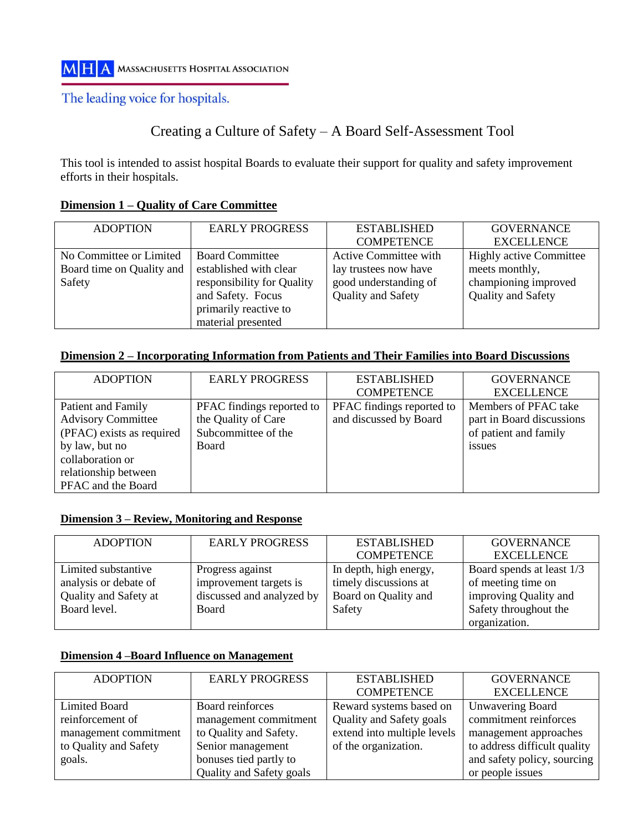### The leading voice for hospitals.

# Creating a Culture of Safety – A Board Self-Assessment Tool

This tool is intended to assist hospital Boards to evaluate their support for quality and safety improvement efforts in their hospitals.

| <b>ADOPTION</b>           | <b>EARLY PROGRESS</b>      | <b>ESTABLISHED</b>        | <b>GOVERNANCE</b>              |
|---------------------------|----------------------------|---------------------------|--------------------------------|
|                           |                            | <b>COMPETENCE</b>         | <b>EXCELLENCE</b>              |
| No Committee or Limited   | <b>Board Committee</b>     | Active Committee with     | <b>Highly active Committee</b> |
| Board time on Quality and | established with clear     | lay trustees now have     | meets monthly,                 |
| Safety                    | responsibility for Quality | good understanding of     | championing improved           |
|                           | and Safety. Focus          | <b>Quality and Safety</b> | Quality and Safety             |
|                           | primarily reactive to      |                           |                                |
|                           | material presented         |                           |                                |

#### **Dimension 1 – Quality of Care Committee**

#### **Dimension 2 – Incorporating Information from Patients and Their Families into Board Discussions**

| <b>ADOPTION</b>           | <b>EARLY PROGRESS</b>     | <b>ESTABLISHED</b>        | <b>GOVERNANCE</b>         |
|---------------------------|---------------------------|---------------------------|---------------------------|
|                           |                           | <b>COMPETENCE</b>         | <b>EXCELLENCE</b>         |
| Patient and Family        | PFAC findings reported to | PFAC findings reported to | Members of PFAC take      |
| <b>Advisory Committee</b> | the Quality of Care       | and discussed by Board    | part in Board discussions |
| (PFAC) exists as required | Subcommittee of the       |                           | of patient and family     |
| by law, but no            | Board                     |                           | issues                    |
| collaboration or          |                           |                           |                           |
| relationship between      |                           |                           |                           |
| PFAC and the Board        |                           |                           |                           |

#### **Dimension 3 – Review, Monitoring and Response**

| <b>ADOPTION</b>       | <b>EARLY PROGRESS</b>     | <b>ESTABLISHED</b>     | <b>GOVERNANCE</b>         |
|-----------------------|---------------------------|------------------------|---------------------------|
|                       |                           | <b>COMPETENCE</b>      | <b>EXCELLENCE</b>         |
| Limited substantive   | Progress against          | In depth, high energy, | Board spends at least 1/3 |
| analysis or debate of | improvement targets is    | timely discussions at  | of meeting time on        |
| Quality and Safety at | discussed and analyzed by | Board on Quality and   | improving Quality and     |
| Board level.          | Board                     | Safety                 | Safety throughout the     |
|                       |                           |                        | organization.             |

### **Dimension 4 –Board Influence on Management**

| <b>ADOPTION</b>       | <b>EARLY PROGRESS</b>    | <b>ESTABLISHED</b>          | <b>GOVERNANCE</b>            |
|-----------------------|--------------------------|-----------------------------|------------------------------|
|                       |                          | <b>COMPETENCE</b>           | <b>EXCELLENCE</b>            |
| Limited Board         | Board reinforces         | Reward systems based on     | Unwavering Board             |
| reinforcement of      | management commitment    | Quality and Safety goals    | commitment reinforces        |
| management commitment | to Quality and Safety.   | extend into multiple levels | management approaches        |
| to Quality and Safety | Senior management        | of the organization.        | to address difficult quality |
| goals.                | bonuses tied partly to   |                             | and safety policy, sourcing  |
|                       | Quality and Safety goals |                             | or people issues             |